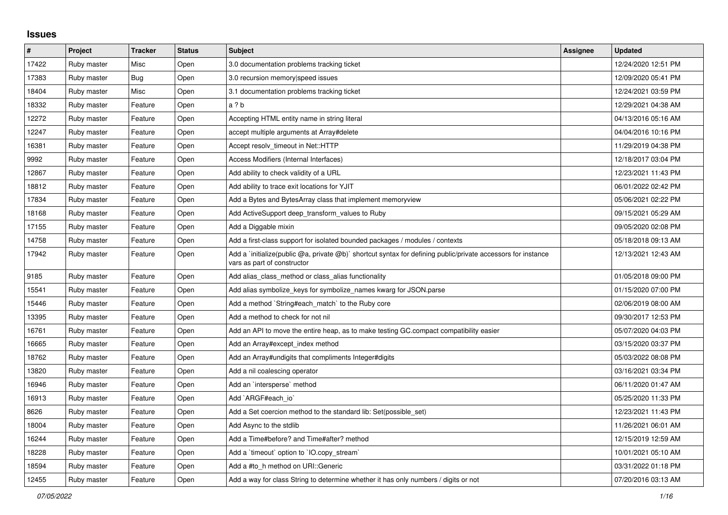## **Issues**

| #     | Project     | <b>Tracker</b> | <b>Status</b> | <b>Subject</b>                                                                                                                              | <b>Assignee</b> | <b>Updated</b>      |
|-------|-------------|----------------|---------------|---------------------------------------------------------------------------------------------------------------------------------------------|-----------------|---------------------|
| 17422 | Ruby master | Misc           | Open          | 3.0 documentation problems tracking ticket                                                                                                  |                 | 12/24/2020 12:51 PM |
| 17383 | Ruby master | Bug            | Open          | 3.0 recursion memory speed issues                                                                                                           |                 | 12/09/2020 05:41 PM |
| 18404 | Ruby master | Misc           | Open          | 3.1 documentation problems tracking ticket                                                                                                  |                 | 12/24/2021 03:59 PM |
| 18332 | Ruby master | Feature        | Open          | a ? b                                                                                                                                       |                 | 12/29/2021 04:38 AM |
| 12272 | Ruby master | Feature        | Open          | Accepting HTML entity name in string literal                                                                                                |                 | 04/13/2016 05:16 AM |
| 12247 | Ruby master | Feature        | Open          | accept multiple arguments at Array#delete                                                                                                   |                 | 04/04/2016 10:16 PM |
| 16381 | Ruby master | Feature        | Open          | Accept resolv timeout in Net::HTTP                                                                                                          |                 | 11/29/2019 04:38 PM |
| 9992  | Ruby master | Feature        | Open          | Access Modifiers (Internal Interfaces)                                                                                                      |                 | 12/18/2017 03:04 PM |
| 12867 | Ruby master | Feature        | Open          | Add ability to check validity of a URL                                                                                                      |                 | 12/23/2021 11:43 PM |
| 18812 | Ruby master | Feature        | Open          | Add ability to trace exit locations for YJIT                                                                                                |                 | 06/01/2022 02:42 PM |
| 17834 | Ruby master | Feature        | Open          | Add a Bytes and BytesArray class that implement memoryview                                                                                  |                 | 05/06/2021 02:22 PM |
| 18168 | Ruby master | Feature        | Open          | Add ActiveSupport deep_transform_values to Ruby                                                                                             |                 | 09/15/2021 05:29 AM |
| 17155 | Ruby master | Feature        | Open          | Add a Diggable mixin                                                                                                                        |                 | 09/05/2020 02:08 PM |
| 14758 | Ruby master | Feature        | Open          | Add a first-class support for isolated bounded packages / modules / contexts                                                                |                 | 05/18/2018 09:13 AM |
| 17942 | Ruby master | Feature        | Open          | Add a `initialize(public @a, private @b)` shortcut syntax for defining public/private accessors for instance<br>vars as part of constructor |                 | 12/13/2021 12:43 AM |
| 9185  | Ruby master | Feature        | Open          | Add alias_class_method or class_alias functionality                                                                                         |                 | 01/05/2018 09:00 PM |
| 15541 | Ruby master | Feature        | Open          | Add alias symbolize_keys for symbolize_names kwarg for JSON.parse                                                                           |                 | 01/15/2020 07:00 PM |
| 15446 | Ruby master | Feature        | Open          | Add a method `String#each_match` to the Ruby core                                                                                           |                 | 02/06/2019 08:00 AM |
| 13395 | Ruby master | Feature        | Open          | Add a method to check for not nil                                                                                                           |                 | 09/30/2017 12:53 PM |
| 16761 | Ruby master | Feature        | Open          | Add an API to move the entire heap, as to make testing GC.compact compatibility easier                                                      |                 | 05/07/2020 04:03 PM |
| 16665 | Ruby master | Feature        | Open          | Add an Array#except index method                                                                                                            |                 | 03/15/2020 03:37 PM |
| 18762 | Ruby master | Feature        | Open          | Add an Array#undigits that compliments Integer#digits                                                                                       |                 | 05/03/2022 08:08 PM |
| 13820 | Ruby master | Feature        | Open          | Add a nil coalescing operator                                                                                                               |                 | 03/16/2021 03:34 PM |
| 16946 | Ruby master | Feature        | Open          | Add an `intersperse` method                                                                                                                 |                 | 06/11/2020 01:47 AM |
| 16913 | Ruby master | Feature        | Open          | Add`ARGF#each io`                                                                                                                           |                 | 05/25/2020 11:33 PM |
| 8626  | Ruby master | Feature        | Open          | Add a Set coercion method to the standard lib: Set(possible set)                                                                            |                 | 12/23/2021 11:43 PM |
| 18004 | Ruby master | Feature        | Open          | Add Async to the stdlib                                                                                                                     |                 | 11/26/2021 06:01 AM |
| 16244 | Ruby master | Feature        | Open          | Add a Time#before? and Time#after? method                                                                                                   |                 | 12/15/2019 12:59 AM |
| 18228 | Ruby master | Feature        | Open          | Add a `timeout` option to `IO.copy_stream`                                                                                                  |                 | 10/01/2021 05:10 AM |
| 18594 | Ruby master | Feature        | Open          | Add a #to h method on URI::Generic                                                                                                          |                 | 03/31/2022 01:18 PM |
| 12455 | Ruby master | Feature        | Open          | Add a way for class String to determine whether it has only numbers / digits or not                                                         |                 | 07/20/2016 03:13 AM |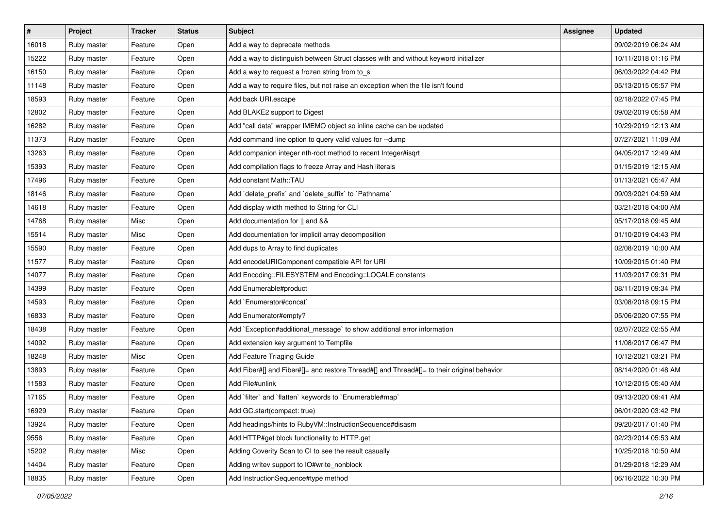| $\vert$ # | Project     | <b>Tracker</b> | <b>Status</b> | <b>Subject</b>                                                                             | Assignee | <b>Updated</b>      |
|-----------|-------------|----------------|---------------|--------------------------------------------------------------------------------------------|----------|---------------------|
| 16018     | Ruby master | Feature        | Open          | Add a way to deprecate methods                                                             |          | 09/02/2019 06:24 AM |
| 15222     | Ruby master | Feature        | Open          | Add a way to distinguish between Struct classes with and without keyword initializer       |          | 10/11/2018 01:16 PM |
| 16150     | Ruby master | Feature        | Open          | Add a way to request a frozen string from to_s                                             |          | 06/03/2022 04:42 PM |
| 11148     | Ruby master | Feature        | Open          | Add a way to require files, but not raise an exception when the file isn't found           |          | 05/13/2015 05:57 PM |
| 18593     | Ruby master | Feature        | Open          | Add back URI.escape                                                                        |          | 02/18/2022 07:45 PM |
| 12802     | Ruby master | Feature        | Open          | Add BLAKE2 support to Digest                                                               |          | 09/02/2019 05:58 AM |
| 16282     | Ruby master | Feature        | Open          | Add "call data" wrapper IMEMO object so inline cache can be updated                        |          | 10/29/2019 12:13 AM |
| 11373     | Ruby master | Feature        | Open          | Add command line option to query valid values for --dump                                   |          | 07/27/2021 11:09 AM |
| 13263     | Ruby master | Feature        | Open          | Add companion integer nth-root method to recent Integer#isqrt                              |          | 04/05/2017 12:49 AM |
| 15393     | Ruby master | Feature        | Open          | Add compilation flags to freeze Array and Hash literals                                    |          | 01/15/2019 12:15 AM |
| 17496     | Ruby master | Feature        | Open          | Add constant Math::TAU                                                                     |          | 01/13/2021 05:47 AM |
| 18146     | Ruby master | Feature        | Open          | Add `delete_prefix` and `delete_suffix` to `Pathname`                                      |          | 09/03/2021 04:59 AM |
| 14618     | Ruby master | Feature        | Open          | Add display width method to String for CLI                                                 |          | 03/21/2018 04:00 AM |
| 14768     | Ruby master | Misc           | Open          | Add documentation for    and &&                                                            |          | 05/17/2018 09:45 AM |
| 15514     | Ruby master | Misc           | Open          | Add documentation for implicit array decomposition                                         |          | 01/10/2019 04:43 PM |
| 15590     | Ruby master | Feature        | Open          | Add dups to Array to find duplicates                                                       |          | 02/08/2019 10:00 AM |
| 11577     | Ruby master | Feature        | Open          | Add encodeURIComponent compatible API for URI                                              |          | 10/09/2015 01:40 PM |
| 14077     | Ruby master | Feature        | Open          | Add Encoding::FILESYSTEM and Encoding::LOCALE constants                                    |          | 11/03/2017 09:31 PM |
| 14399     | Ruby master | Feature        | Open          | Add Enumerable#product                                                                     |          | 08/11/2019 09:34 PM |
| 14593     | Ruby master | Feature        | Open          | Add `Enumerator#concat`                                                                    |          | 03/08/2018 09:15 PM |
| 16833     | Ruby master | Feature        | Open          | Add Enumerator#empty?                                                                      |          | 05/06/2020 07:55 PM |
| 18438     | Ruby master | Feature        | Open          | Add `Exception#additional_message` to show additional error information                    |          | 02/07/2022 02:55 AM |
| 14092     | Ruby master | Feature        | Open          | Add extension key argument to Tempfile                                                     |          | 11/08/2017 06:47 PM |
| 18248     | Ruby master | Misc           | Open          | Add Feature Triaging Guide                                                                 |          | 10/12/2021 03:21 PM |
| 13893     | Ruby master | Feature        | Open          | Add Fiber#[] and Fiber#[]= and restore Thread#[] and Thread#[]= to their original behavior |          | 08/14/2020 01:48 AM |
| 11583     | Ruby master | Feature        | Open          | Add File#unlink                                                                            |          | 10/12/2015 05:40 AM |
| 17165     | Ruby master | Feature        | Open          | Add `filter` and `flatten` keywords to `Enumerable#map`                                    |          | 09/13/2020 09:41 AM |
| 16929     | Ruby master | Feature        | Open          | Add GC.start(compact: true)                                                                |          | 06/01/2020 03:42 PM |
| 13924     | Ruby master | Feature        | Open          | Add headings/hints to RubyVM::InstructionSequence#disasm                                   |          | 09/20/2017 01:40 PM |
| 9556      | Ruby master | Feature        | Open          | Add HTTP#get block functionality to HTTP.get                                               |          | 02/23/2014 05:53 AM |
| 15202     | Ruby master | Misc           | Open          | Adding Coverity Scan to CI to see the result casually                                      |          | 10/25/2018 10:50 AM |
| 14404     | Ruby master | Feature        | Open          | Adding writev support to IO#write_nonblock                                                 |          | 01/29/2018 12:29 AM |
| 18835     | Ruby master | Feature        | Open          | Add InstructionSequence#type method                                                        |          | 06/16/2022 10:30 PM |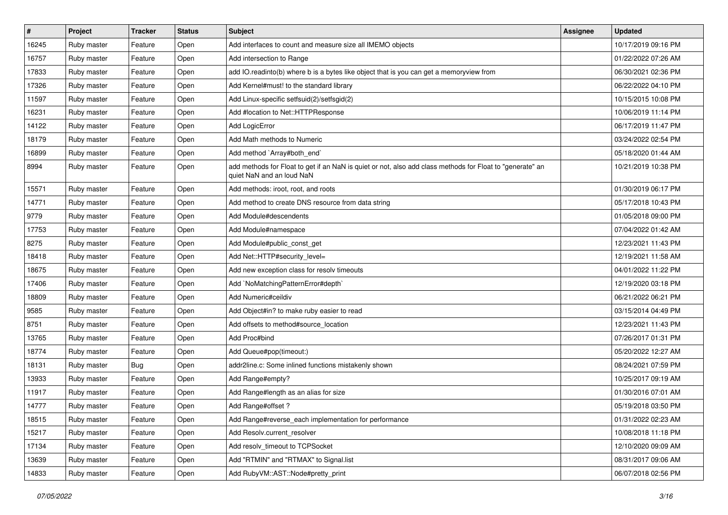| $\vert$ # | Project     | <b>Tracker</b> | <b>Status</b> | Subject                                                                                                                                | Assignee | <b>Updated</b>      |
|-----------|-------------|----------------|---------------|----------------------------------------------------------------------------------------------------------------------------------------|----------|---------------------|
| 16245     | Ruby master | Feature        | Open          | Add interfaces to count and measure size all IMEMO objects                                                                             |          | 10/17/2019 09:16 PM |
| 16757     | Ruby master | Feature        | Open          | Add intersection to Range                                                                                                              |          | 01/22/2022 07:26 AM |
| 17833     | Ruby master | Feature        | Open          | add IO.readinto(b) where b is a bytes like object that is you can get a memoryview from                                                |          | 06/30/2021 02:36 PM |
| 17326     | Ruby master | Feature        | Open          | Add Kernel#must! to the standard library                                                                                               |          | 06/22/2022 04:10 PM |
| 11597     | Ruby master | Feature        | Open          | Add Linux-specific setfsuid(2)/setfsgid(2)                                                                                             |          | 10/15/2015 10:08 PM |
| 16231     | Ruby master | Feature        | Open          | Add #location to Net::HTTPResponse                                                                                                     |          | 10/06/2019 11:14 PM |
| 14122     | Ruby master | Feature        | Open          | Add LogicError                                                                                                                         |          | 06/17/2019 11:47 PM |
| 18179     | Ruby master | Feature        | Open          | Add Math methods to Numeric                                                                                                            |          | 03/24/2022 02:54 PM |
| 16899     | Ruby master | Feature        | Open          | Add method `Array#both_end`                                                                                                            |          | 05/18/2020 01:44 AM |
| 8994      | Ruby master | Feature        | Open          | add methods for Float to get if an NaN is quiet or not, also add class methods for Float to "generate" an<br>quiet NaN and an loud NaN |          | 10/21/2019 10:38 PM |
| 15571     | Ruby master | Feature        | Open          | Add methods: iroot, root, and roots                                                                                                    |          | 01/30/2019 06:17 PM |
| 14771     | Ruby master | Feature        | Open          | Add method to create DNS resource from data string                                                                                     |          | 05/17/2018 10:43 PM |
| 9779      | Ruby master | Feature        | Open          | Add Module#descendents                                                                                                                 |          | 01/05/2018 09:00 PM |
| 17753     | Ruby master | Feature        | Open          | Add Module#namespace                                                                                                                   |          | 07/04/2022 01:42 AM |
| 8275      | Ruby master | Feature        | Open          | Add Module#public_const_get                                                                                                            |          | 12/23/2021 11:43 PM |
| 18418     | Ruby master | Feature        | Open          | Add Net::HTTP#security_level=                                                                                                          |          | 12/19/2021 11:58 AM |
| 18675     | Ruby master | Feature        | Open          | Add new exception class for resolv timeouts                                                                                            |          | 04/01/2022 11:22 PM |
| 17406     | Ruby master | Feature        | Open          | Add `NoMatchingPatternError#depth`                                                                                                     |          | 12/19/2020 03:18 PM |
| 18809     | Ruby master | Feature        | Open          | Add Numeric#ceildiv                                                                                                                    |          | 06/21/2022 06:21 PM |
| 9585      | Ruby master | Feature        | Open          | Add Object#in? to make ruby easier to read                                                                                             |          | 03/15/2014 04:49 PM |
| 8751      | Ruby master | Feature        | Open          | Add offsets to method#source_location                                                                                                  |          | 12/23/2021 11:43 PM |
| 13765     | Ruby master | Feature        | Open          | Add Proc#bind                                                                                                                          |          | 07/26/2017 01:31 PM |
| 18774     | Ruby master | Feature        | Open          | Add Queue#pop(timeout:)                                                                                                                |          | 05/20/2022 12:27 AM |
| 18131     | Ruby master | <b>Bug</b>     | Open          | addr2line.c: Some inlined functions mistakenly shown                                                                                   |          | 08/24/2021 07:59 PM |
| 13933     | Ruby master | Feature        | Open          | Add Range#empty?                                                                                                                       |          | 10/25/2017 09:19 AM |
| 11917     | Ruby master | Feature        | Open          | Add Range#length as an alias for size                                                                                                  |          | 01/30/2016 07:01 AM |
| 14777     | Ruby master | Feature        | Open          | Add Range#offset ?                                                                                                                     |          | 05/19/2018 03:50 PM |
| 18515     | Ruby master | Feature        | Open          | Add Range#reverse_each implementation for performance                                                                                  |          | 01/31/2022 02:23 AM |
| 15217     | Ruby master | Feature        | Open          | Add Resolv.current_resolver                                                                                                            |          | 10/08/2018 11:18 PM |
| 17134     | Ruby master | Feature        | Open          | Add resolv_timeout to TCPSocket                                                                                                        |          | 12/10/2020 09:09 AM |
| 13639     | Ruby master | Feature        | Open          | Add "RTMIN" and "RTMAX" to Signal.list                                                                                                 |          | 08/31/2017 09:06 AM |
| 14833     | Ruby master | Feature        | Open          | Add RubyVM::AST::Node#pretty_print                                                                                                     |          | 06/07/2018 02:56 PM |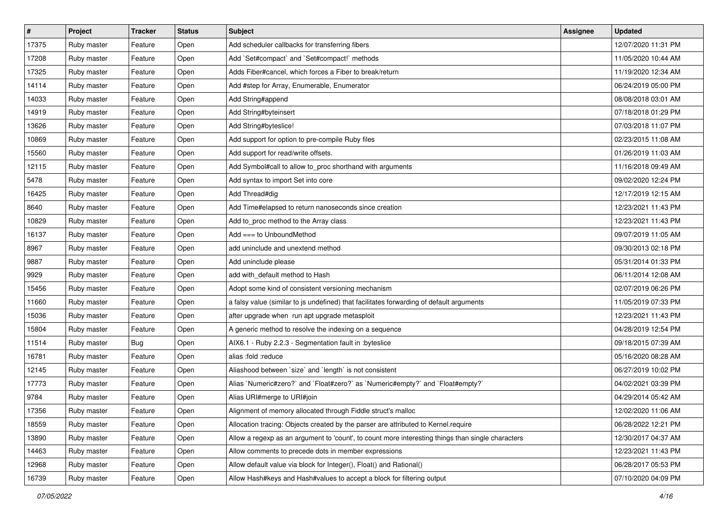| $\sharp$ | Project     | <b>Tracker</b> | <b>Status</b> | Subject                                                                                           | <b>Assignee</b> | <b>Updated</b>      |
|----------|-------------|----------------|---------------|---------------------------------------------------------------------------------------------------|-----------------|---------------------|
| 17375    | Ruby master | Feature        | Open          | Add scheduler callbacks for transferring fibers                                                   |                 | 12/07/2020 11:31 PM |
| 17208    | Ruby master | Feature        | Open          | Add `Set#compact` and `Set#compact!` methods                                                      |                 | 11/05/2020 10:44 AM |
| 17325    | Ruby master | Feature        | Open          | Adds Fiber#cancel, which forces a Fiber to break/return                                           |                 | 11/19/2020 12:34 AM |
| 14114    | Ruby master | Feature        | Open          | Add #step for Array, Enumerable, Enumerator                                                       |                 | 06/24/2019 05:00 PM |
| 14033    | Ruby master | Feature        | Open          | Add String#append                                                                                 |                 | 08/08/2018 03:01 AM |
| 14919    | Ruby master | Feature        | Open          | Add String#byteinsert                                                                             |                 | 07/18/2018 01:29 PM |
| 13626    | Ruby master | Feature        | Open          | Add String#byteslice!                                                                             |                 | 07/03/2018 11:07 PM |
| 10869    | Ruby master | Feature        | Open          | Add support for option to pre-compile Ruby files                                                  |                 | 02/23/2015 11:08 AM |
| 15560    | Ruby master | Feature        | Open          | Add support for read/write offsets.                                                               |                 | 01/26/2019 11:03 AM |
| 12115    | Ruby master | Feature        | Open          | Add Symbol#call to allow to_proc shorthand with arguments                                         |                 | 11/16/2018 09:49 AM |
| 5478     | Ruby master | Feature        | Open          | Add syntax to import Set into core                                                                |                 | 09/02/2020 12:24 PM |
| 16425    | Ruby master | Feature        | Open          | Add Thread#dig                                                                                    |                 | 12/17/2019 12:15 AM |
| 8640     | Ruby master | Feature        | Open          | Add Time#elapsed to return nanoseconds since creation                                             |                 | 12/23/2021 11:43 PM |
| 10829    | Ruby master | Feature        | Open          | Add to_proc method to the Array class                                                             |                 | 12/23/2021 11:43 PM |
| 16137    | Ruby master | Feature        | Open          | Add $==$ to UnboundMethod                                                                         |                 | 09/07/2019 11:05 AM |
| 8967     | Ruby master | Feature        | Open          | add uninclude and unextend method                                                                 |                 | 09/30/2013 02:18 PM |
| 9887     | Ruby master | Feature        | Open          | Add uninclude please                                                                              |                 | 05/31/2014 01:33 PM |
| 9929     | Ruby master | Feature        | Open          | add with_default method to Hash                                                                   |                 | 06/11/2014 12:08 AM |
| 15456    | Ruby master | Feature        | Open          | Adopt some kind of consistent versioning mechanism                                                |                 | 02/07/2019 06:26 PM |
| 11660    | Ruby master | Feature        | Open          | a falsy value (similar to js undefined) that facilitates forwarding of default arguments          |                 | 11/05/2019 07:33 PM |
| 15036    | Ruby master | Feature        | Open          | after upgrade when run apt upgrade metasploit                                                     |                 | 12/23/2021 11:43 PM |
| 15804    | Ruby master | Feature        | Open          | A generic method to resolve the indexing on a sequence                                            |                 | 04/28/2019 12:54 PM |
| 11514    | Ruby master | Bug            | Open          | AIX6.1 - Ruby 2.2.3 - Segmentation fault in : byteslice                                           |                 | 09/18/2015 07:39 AM |
| 16781    | Ruby master | Feature        | Open          | alias :fold :reduce                                                                               |                 | 05/16/2020 08:28 AM |
| 12145    | Ruby master | Feature        | Open          | Aliashood between 'size' and 'length' is not consistent                                           |                 | 06/27/2019 10:02 PM |
| 17773    | Ruby master | Feature        | Open          | Alias `Numeric#zero?` and `Float#zero?` as `Numeric#empty?` and `Float#empty?`                    |                 | 04/02/2021 03:39 PM |
| 9784     | Ruby master | Feature        | Open          | Alias URI#merge to URI#join                                                                       |                 | 04/29/2014 05:42 AM |
| 17356    | Ruby master | Feature        | Open          | Alignment of memory allocated through Fiddle struct's malloc                                      |                 | 12/02/2020 11:06 AM |
| 18559    | Ruby master | Feature        | Open          | Allocation tracing: Objects created by the parser are attributed to Kernel.require                |                 | 06/28/2022 12:21 PM |
| 13890    | Ruby master | Feature        | Open          | Allow a regexp as an argument to 'count', to count more interesting things than single characters |                 | 12/30/2017 04:37 AM |
| 14463    | Ruby master | Feature        | Open          | Allow comments to precede dots in member expressions                                              |                 | 12/23/2021 11:43 PM |
| 12968    | Ruby master | Feature        | Open          | Allow default value via block for Integer(), Float() and Rational()                               |                 | 06/28/2017 05:53 PM |
| 16739    | Ruby master | Feature        | Open          | Allow Hash#keys and Hash#values to accept a block for filtering output                            |                 | 07/10/2020 04:09 PM |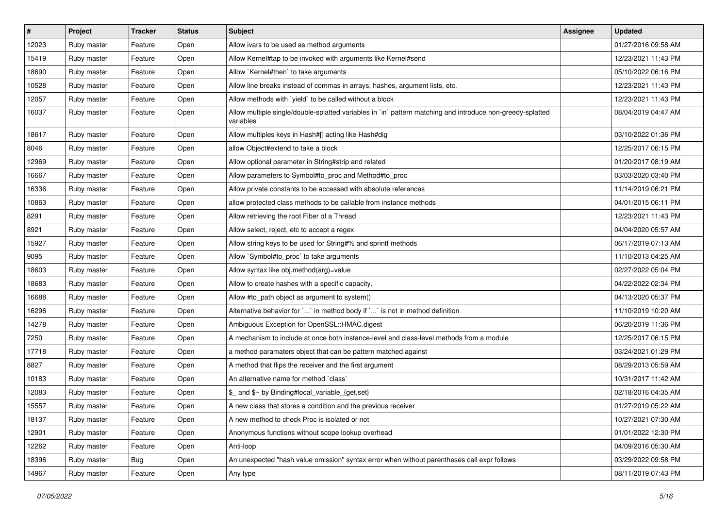| #     | Project     | <b>Tracker</b> | <b>Status</b> | <b>Subject</b>                                                                                                          | <b>Assignee</b> | <b>Updated</b>      |
|-------|-------------|----------------|---------------|-------------------------------------------------------------------------------------------------------------------------|-----------------|---------------------|
| 12023 | Ruby master | Feature        | Open          | Allow ivars to be used as method arguments                                                                              |                 | 01/27/2016 09:58 AM |
| 15419 | Ruby master | Feature        | Open          | Allow Kernel#tap to be invoked with arguments like Kernel#send                                                          |                 | 12/23/2021 11:43 PM |
| 18690 | Ruby master | Feature        | Open          | Allow `Kernel#then` to take arguments                                                                                   |                 | 05/10/2022 06:16 PM |
| 10528 | Ruby master | Feature        | Open          | Allow line breaks instead of commas in arrays, hashes, argument lists, etc.                                             |                 | 12/23/2021 11:43 PM |
| 12057 | Ruby master | Feature        | Open          | Allow methods with `yield` to be called without a block                                                                 |                 | 12/23/2021 11:43 PM |
| 16037 | Ruby master | Feature        | Open          | Allow multiple single/double-splatted variables in `in` pattern matching and introduce non-greedy-splatted<br>variables |                 | 08/04/2019 04:47 AM |
| 18617 | Ruby master | Feature        | Open          | Allow multiples keys in Hash#[] acting like Hash#dig                                                                    |                 | 03/10/2022 01:36 PM |
| 8046  | Ruby master | Feature        | Open          | allow Object#extend to take a block                                                                                     |                 | 12/25/2017 06:15 PM |
| 12969 | Ruby master | Feature        | Open          | Allow optional parameter in String#strip and related                                                                    |                 | 01/20/2017 08:19 AM |
| 16667 | Ruby master | Feature        | Open          | Allow parameters to Symbol#to_proc and Method#to_proc                                                                   |                 | 03/03/2020 03:40 PM |
| 16336 | Ruby master | Feature        | Open          | Allow private constants to be accessed with absolute references                                                         |                 | 11/14/2019 06:21 PM |
| 10863 | Ruby master | Feature        | Open          | allow protected class methods to be callable from instance methods                                                      |                 | 04/01/2015 06:11 PM |
| 8291  | Ruby master | Feature        | Open          | Allow retrieving the root Fiber of a Thread                                                                             |                 | 12/23/2021 11:43 PM |
| 8921  | Ruby master | Feature        | Open          | Allow select, reject, etc to accept a regex                                                                             |                 | 04/04/2020 05:57 AM |
| 15927 | Ruby master | Feature        | Open          | Allow string keys to be used for String#% and sprintf methods                                                           |                 | 06/17/2019 07:13 AM |
| 9095  | Ruby master | Feature        | Open          | Allow `Symbol#to_proc` to take arguments                                                                                |                 | 11/10/2013 04:25 AM |
| 18603 | Ruby master | Feature        | Open          | Allow syntax like obj.method(arg)=value                                                                                 |                 | 02/27/2022 05:04 PM |
| 18683 | Ruby master | Feature        | Open          | Allow to create hashes with a specific capacity.                                                                        |                 | 04/22/2022 02:34 PM |
| 16688 | Ruby master | Feature        | Open          | Allow #to_path object as argument to system()                                                                           |                 | 04/13/2020 05:37 PM |
| 16296 | Ruby master | Feature        | Open          | Alternative behavior for ` ` in method body if ` ` is not in method definition                                          |                 | 11/10/2019 10:20 AM |
| 14278 | Ruby master | Feature        | Open          | Ambiguous Exception for OpenSSL::HMAC.digest                                                                            |                 | 06/20/2019 11:36 PM |
| 7250  | Ruby master | Feature        | Open          | A mechanism to include at once both instance-level and class-level methods from a module                                |                 | 12/25/2017 06:15 PM |
| 17718 | Ruby master | Feature        | Open          | a method paramaters object that can be pattern matched against                                                          |                 | 03/24/2021 01:29 PM |
| 8827  | Ruby master | Feature        | Open          | A method that flips the receiver and the first argument                                                                 |                 | 08/29/2013 05:59 AM |
| 10183 | Ruby master | Feature        | Open          | An alternative name for method `class`                                                                                  |                 | 10/31/2017 11:42 AM |
| 12083 | Ruby master | Feature        | Open          | \$ and \$~ by Binding#local variable {get,set}                                                                          |                 | 02/18/2016 04:35 AM |
| 15557 | Ruby master | Feature        | Open          | A new class that stores a condition and the previous receiver                                                           |                 | 01/27/2019 05:22 AM |
| 18137 | Ruby master | Feature        | Open          | A new method to check Proc is isolated or not                                                                           |                 | 10/27/2021 07:30 AM |
| 12901 | Ruby master | Feature        | Open          | Anonymous functions without scope lookup overhead                                                                       |                 | 01/01/2022 12:30 PM |
| 12262 | Ruby master | Feature        | Open          | Anti-loop                                                                                                               |                 | 04/09/2016 05:30 AM |
| 18396 | Ruby master | <b>Bug</b>     | Open          | An unexpected "hash value omission" syntax error when without parentheses call expr follows                             |                 | 03/29/2022 09:58 PM |
| 14967 | Ruby master | Feature        | Open          | Any type                                                                                                                |                 | 08/11/2019 07:43 PM |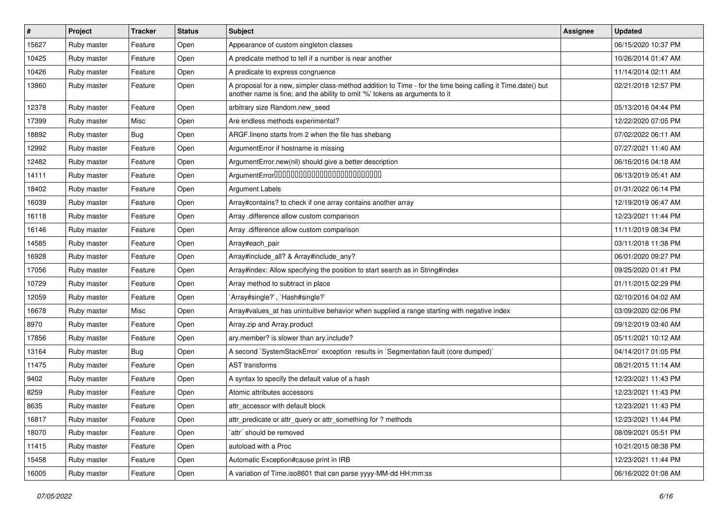| #     | Project     | <b>Tracker</b> | <b>Status</b> | <b>Subject</b>                                                                                                                                                                             | Assignee | <b>Updated</b>      |
|-------|-------------|----------------|---------------|--------------------------------------------------------------------------------------------------------------------------------------------------------------------------------------------|----------|---------------------|
| 15627 | Ruby master | Feature        | Open          | Appearance of custom singleton classes                                                                                                                                                     |          | 06/15/2020 10:37 PM |
| 10425 | Ruby master | Feature        | Open          | A predicate method to tell if a number is near another                                                                                                                                     |          | 10/26/2014 01:47 AM |
| 10426 | Ruby master | Feature        | Open          | A predicate to express congruence                                                                                                                                                          |          | 11/14/2014 02:11 AM |
| 13860 | Ruby master | Feature        | Open          | A proposal for a new, simpler class-method addition to Time - for the time being calling it Time.date() but<br>another name is fine; and the ability to omit '%' tokens as arguments to it |          | 02/21/2018 12:57 PM |
| 12378 | Ruby master | Feature        | Open          | arbitrary size Random.new_seed                                                                                                                                                             |          | 05/13/2016 04:44 PM |
| 17399 | Ruby master | Misc           | Open          | Are endless methods experimental?                                                                                                                                                          |          | 12/22/2020 07:05 PM |
| 18892 | Ruby master | Bug            | Open          | ARGF. lineno starts from 2 when the file has shebang                                                                                                                                       |          | 07/02/2022 06:11 AM |
| 12992 | Ruby master | Feature        | Open          | ArgumentError if hostname is missing                                                                                                                                                       |          | 07/27/2021 11:40 AM |
| 12482 | Ruby master | Feature        | Open          | ArgumentError.new(nil) should give a better description                                                                                                                                    |          | 06/16/2016 04:18 AM |
| 14111 | Ruby master | Feature        | Open          | ArgumentError00000000000000000000000000                                                                                                                                                    |          | 06/13/2019 05:41 AM |
| 18402 | Ruby master | Feature        | Open          | <b>Argument Labels</b>                                                                                                                                                                     |          | 01/31/2022 06:14 PM |
| 16039 | Ruby master | Feature        | Open          | Array#contains? to check if one array contains another array                                                                                                                               |          | 12/19/2019 06:47 AM |
| 16118 | Ruby master | Feature        | Open          | Array .difference allow custom comparison                                                                                                                                                  |          | 12/23/2021 11:44 PM |
| 16146 | Ruby master | Feature        | Open          | Array .difference allow custom comparison                                                                                                                                                  |          | 11/11/2019 08:34 PM |
| 14585 | Ruby master | Feature        | Open          | Array#each_pair                                                                                                                                                                            |          | 03/11/2018 11:38 PM |
| 16928 | Ruby master | Feature        | Open          | Array#include_all? & Array#include_any?                                                                                                                                                    |          | 06/01/2020 09:27 PM |
| 17056 | Ruby master | Feature        | Open          | Array#index: Allow specifying the position to start search as in String#index                                                                                                              |          | 09/25/2020 01:41 PM |
| 10729 | Ruby master | Feature        | Open          | Array method to subtract in place                                                                                                                                                          |          | 01/11/2015 02:29 PM |
| 12059 | Ruby master | Feature        | Open          | `Array#single?`, `Hash#single?`                                                                                                                                                            |          | 02/10/2016 04:02 AM |
| 16678 | Ruby master | Misc           | Open          | Array#values_at has unintuitive behavior when supplied a range starting with negative index                                                                                                |          | 03/09/2020 02:06 PM |
| 8970  | Ruby master | Feature        | Open          | Array.zip and Array.product                                                                                                                                                                |          | 09/12/2019 03:40 AM |
| 17856 | Ruby master | Feature        | Open          | ary.member? is slower than ary.include?                                                                                                                                                    |          | 05/11/2021 10:12 AM |
| 13164 | Ruby master | <b>Bug</b>     | Open          | A second `SystemStackError` exception results in `Segmentation fault (core dumped)`                                                                                                        |          | 04/14/2017 01:05 PM |
| 11475 | Ruby master | Feature        | Open          | <b>AST</b> transforms                                                                                                                                                                      |          | 08/21/2015 11:14 AM |
| 9402  | Ruby master | Feature        | Open          | A syntax to specify the default value of a hash                                                                                                                                            |          | 12/23/2021 11:43 PM |
| 8259  | Ruby master | Feature        | Open          | Atomic attributes accessors                                                                                                                                                                |          | 12/23/2021 11:43 PM |
| 8635  | Ruby master | Feature        | Open          | attr accessor with default block                                                                                                                                                           |          | 12/23/2021 11:43 PM |
| 16817 | Ruby master | Feature        | Open          | attr_predicate or attr_query or attr_something for ? methods                                                                                                                               |          | 12/23/2021 11:44 PM |
| 18070 | Ruby master | Feature        | Open          | `attr` should be removed                                                                                                                                                                   |          | 08/09/2021 05:51 PM |
| 11415 | Ruby master | Feature        | Open          | autoload with a Proc                                                                                                                                                                       |          | 10/21/2015 08:38 PM |
| 15458 | Ruby master | Feature        | Open          | Automatic Exception#cause print in IRB                                                                                                                                                     |          | 12/23/2021 11:44 PM |
| 16005 | Ruby master | Feature        | Open          | A variation of Time.iso8601 that can parse yyyy-MM-dd HH:mm:ss                                                                                                                             |          | 06/16/2022 01:08 AM |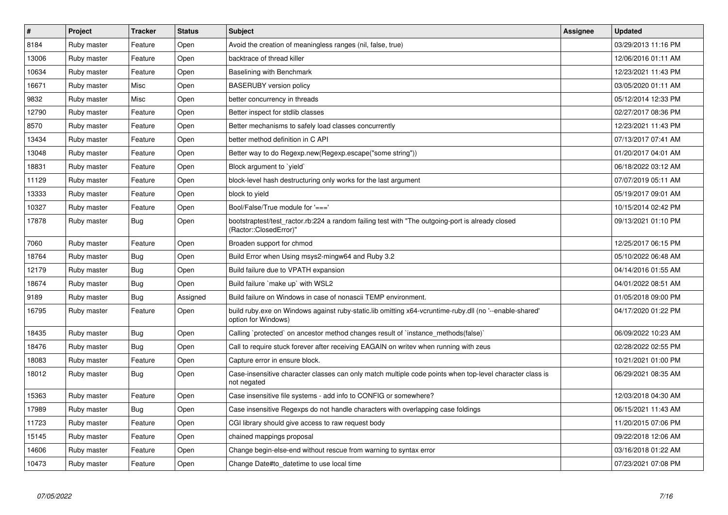| $\pmb{\#}$ | Project     | <b>Tracker</b> | <b>Status</b> | <b>Subject</b>                                                                                                                 | Assignee | <b>Updated</b>      |
|------------|-------------|----------------|---------------|--------------------------------------------------------------------------------------------------------------------------------|----------|---------------------|
| 8184       | Ruby master | Feature        | Open          | Avoid the creation of meaningless ranges (nil, false, true)                                                                    |          | 03/29/2013 11:16 PM |
| 13006      | Ruby master | Feature        | Open          | backtrace of thread killer                                                                                                     |          | 12/06/2016 01:11 AM |
| 10634      | Ruby master | Feature        | Open          | Baselining with Benchmark                                                                                                      |          | 12/23/2021 11:43 PM |
| 16671      | Ruby master | Misc           | Open          | <b>BASERUBY</b> version policy                                                                                                 |          | 03/05/2020 01:11 AM |
| 9832       | Ruby master | Misc           | Open          | better concurrency in threads                                                                                                  |          | 05/12/2014 12:33 PM |
| 12790      | Ruby master | Feature        | Open          | Better inspect for stdlib classes                                                                                              |          | 02/27/2017 08:36 PM |
| 8570       | Ruby master | Feature        | Open          | Better mechanisms to safely load classes concurrently                                                                          |          | 12/23/2021 11:43 PM |
| 13434      | Ruby master | Feature        | Open          | better method definition in C API                                                                                              |          | 07/13/2017 07:41 AM |
| 13048      | Ruby master | Feature        | Open          | Better way to do Regexp.new(Regexp.escape("some string"))                                                                      |          | 01/20/2017 04:01 AM |
| 18831      | Ruby master | Feature        | Open          | Block argument to `yield`                                                                                                      |          | 06/18/2022 03:12 AM |
| 11129      | Ruby master | Feature        | Open          | block-level hash destructuring only works for the last argument                                                                |          | 07/07/2019 05:11 AM |
| 13333      | Ruby master | Feature        | Open          | block to yield                                                                                                                 |          | 05/19/2017 09:01 AM |
| 10327      | Ruby master | Feature        | Open          | Bool/False/True module for '==='                                                                                               |          | 10/15/2014 02:42 PM |
| 17878      | Ruby master | <b>Bug</b>     | Open          | bootstraptest/test ractor.rb:224 a random failing test with "The outgoing-port is already closed<br>(Ractor::ClosedError)"     |          | 09/13/2021 01:10 PM |
| 7060       | Ruby master | Feature        | Open          | Broaden support for chmod                                                                                                      |          | 12/25/2017 06:15 PM |
| 18764      | Ruby master | <b>Bug</b>     | Open          | Build Error when Using msys2-mingw64 and Ruby 3.2                                                                              |          | 05/10/2022 06:48 AM |
| 12179      | Ruby master | <b>Bug</b>     | Open          | Build failure due to VPATH expansion                                                                                           |          | 04/14/2016 01:55 AM |
| 18674      | Ruby master | <b>Bug</b>     | Open          | Build failure `make up` with WSL2                                                                                              |          | 04/01/2022 08:51 AM |
| 9189       | Ruby master | Bug            | Assigned      | Build failure on Windows in case of nonascii TEMP environment.                                                                 |          | 01/05/2018 09:00 PM |
| 16795      | Ruby master | Feature        | Open          | build ruby exe on Windows against ruby-static lib omitting x64-vcruntime-ruby dll (no '--enable-shared'<br>option for Windows) |          | 04/17/2020 01:22 PM |
| 18435      | Ruby master | Bug            | Open          | Calling `protected` on ancestor method changes result of `instance methods(false)`                                             |          | 06/09/2022 10:23 AM |
| 18476      | Ruby master | <b>Bug</b>     | Open          | Call to require stuck forever after receiving EAGAIN on writev when running with zeus                                          |          | 02/28/2022 02:55 PM |
| 18083      | Ruby master | Feature        | Open          | Capture error in ensure block.                                                                                                 |          | 10/21/2021 01:00 PM |
| 18012      | Ruby master | Bug            | Open          | Case-insensitive character classes can only match multiple code points when top-level character class is<br>not negated        |          | 06/29/2021 08:35 AM |
| 15363      | Ruby master | Feature        | Open          | Case insensitive file systems - add info to CONFIG or somewhere?                                                               |          | 12/03/2018 04:30 AM |
| 17989      | Ruby master | Bug            | Open          | Case insensitive Regexps do not handle characters with overlapping case foldings                                               |          | 06/15/2021 11:43 AM |
| 11723      | Ruby master | Feature        | Open          | CGI library should give access to raw request body                                                                             |          | 11/20/2015 07:06 PM |
| 15145      | Ruby master | Feature        | Open          | chained mappings proposal                                                                                                      |          | 09/22/2018 12:06 AM |
| 14606      | Ruby master | Feature        | Open          | Change begin-else-end without rescue from warning to syntax error                                                              |          | 03/16/2018 01:22 AM |
| 10473      | Ruby master | Feature        | Open          | Change Date#to datetime to use local time                                                                                      |          | 07/23/2021 07:08 PM |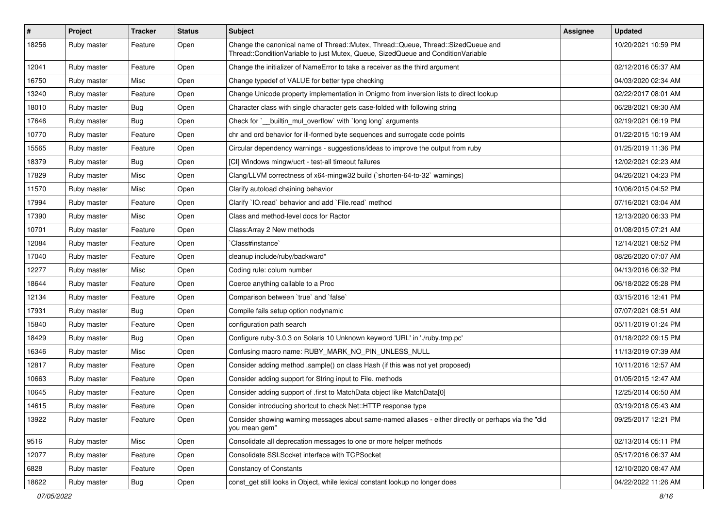| $\vert$ # | Project     | <b>Tracker</b> | <b>Status</b> | <b>Subject</b>                                                                                                                                                        | Assignee | <b>Updated</b>      |
|-----------|-------------|----------------|---------------|-----------------------------------------------------------------------------------------------------------------------------------------------------------------------|----------|---------------------|
| 18256     | Ruby master | Feature        | Open          | Change the canonical name of Thread::Mutex, Thread::Queue, Thread::SizedQueue and<br>Thread::ConditionVariable to just Mutex, Queue, SizedQueue and ConditionVariable |          | 10/20/2021 10:59 PM |
| 12041     | Ruby master | Feature        | Open          | Change the initializer of NameError to take a receiver as the third argument                                                                                          |          | 02/12/2016 05:37 AM |
| 16750     | Ruby master | Misc           | Open          | Change typedef of VALUE for better type checking                                                                                                                      |          | 04/03/2020 02:34 AM |
| 13240     | Ruby master | Feature        | Open          | Change Unicode property implementation in Onigmo from inversion lists to direct lookup                                                                                |          | 02/22/2017 08:01 AM |
| 18010     | Ruby master | <b>Bug</b>     | Open          | Character class with single character gets case-folded with following string                                                                                          |          | 06/28/2021 09:30 AM |
| 17646     | Ruby master | <b>Bug</b>     | Open          | Check for `_builtin_mul_overflow` with `long long` arguments                                                                                                          |          | 02/19/2021 06:19 PM |
| 10770     | Ruby master | Feature        | Open          | chr and ord behavior for ill-formed byte sequences and surrogate code points                                                                                          |          | 01/22/2015 10:19 AM |
| 15565     | Ruby master | Feature        | Open          | Circular dependency warnings - suggestions/ideas to improve the output from ruby                                                                                      |          | 01/25/2019 11:36 PM |
| 18379     | Ruby master | Bug            | Open          | [CI] Windows mingw/ucrt - test-all timeout failures                                                                                                                   |          | 12/02/2021 02:23 AM |
| 17829     | Ruby master | Misc           | Open          | Clang/LLVM correctness of x64-mingw32 build (`shorten-64-to-32` warnings)                                                                                             |          | 04/26/2021 04:23 PM |
| 11570     | Ruby master | Misc           | Open          | Clarify autoload chaining behavior                                                                                                                                    |          | 10/06/2015 04:52 PM |
| 17994     | Ruby master | Feature        | Open          | Clarify `IO.read` behavior and add `File.read` method                                                                                                                 |          | 07/16/2021 03:04 AM |
| 17390     | Ruby master | Misc           | Open          | Class and method-level docs for Ractor                                                                                                                                |          | 12/13/2020 06:33 PM |
| 10701     | Ruby master | Feature        | Open          | Class: Array 2 New methods                                                                                                                                            |          | 01/08/2015 07:21 AM |
| 12084     | Ruby master | Feature        | Open          | Class#instance`                                                                                                                                                       |          | 12/14/2021 08:52 PM |
| 17040     | Ruby master | Feature        | Open          | cleanup include/ruby/backward*                                                                                                                                        |          | 08/26/2020 07:07 AM |
| 12277     | Ruby master | Misc           | Open          | Coding rule: colum number                                                                                                                                             |          | 04/13/2016 06:32 PM |
| 18644     | Ruby master | Feature        | Open          | Coerce anything callable to a Proc                                                                                                                                    |          | 06/18/2022 05:28 PM |
| 12134     | Ruby master | Feature        | Open          | Comparison between 'true' and 'false'                                                                                                                                 |          | 03/15/2016 12:41 PM |
| 17931     | Ruby master | Bug            | Open          | Compile fails setup option nodynamic                                                                                                                                  |          | 07/07/2021 08:51 AM |
| 15840     | Ruby master | Feature        | Open          | configuration path search                                                                                                                                             |          | 05/11/2019 01:24 PM |
| 18429     | Ruby master | <b>Bug</b>     | Open          | Configure ruby-3.0.3 on Solaris 10 Unknown keyword 'URL' in './ruby.tmp.pc'                                                                                           |          | 01/18/2022 09:15 PM |
| 16346     | Ruby master | Misc           | Open          | Confusing macro name: RUBY_MARK_NO_PIN_UNLESS_NULL                                                                                                                    |          | 11/13/2019 07:39 AM |
| 12817     | Ruby master | Feature        | Open          | Consider adding method .sample() on class Hash (if this was not yet proposed)                                                                                         |          | 10/11/2016 12:57 AM |
| 10663     | Ruby master | Feature        | Open          | Consider adding support for String input to File. methods                                                                                                             |          | 01/05/2015 12:47 AM |
| 10645     | Ruby master | Feature        | Open          | Consider adding support of .first to MatchData object like MatchData[0]                                                                                               |          | 12/25/2014 06:50 AM |
| 14615     | Ruby master | Feature        | Open          | Consider introducing shortcut to check Net::HTTP response type                                                                                                        |          | 03/19/2018 05:43 AM |
| 13922     | Ruby master | Feature        | Open          | Consider showing warning messages about same-named aliases - either directly or perhaps via the "did<br>vou mean gem"                                                 |          | 09/25/2017 12:21 PM |
| 9516      | Ruby master | Misc           | Open          | Consolidate all deprecation messages to one or more helper methods                                                                                                    |          | 02/13/2014 05:11 PM |
| 12077     | Ruby master | Feature        | Open          | Consolidate SSLSocket interface with TCPSocket                                                                                                                        |          | 05/17/2016 06:37 AM |
| 6828      | Ruby master | Feature        | Open          | <b>Constancy of Constants</b>                                                                                                                                         |          | 12/10/2020 08:47 AM |
| 18622     | Ruby master | <b>Bug</b>     | Open          | const_get still looks in Object, while lexical constant lookup no longer does                                                                                         |          | 04/22/2022 11:26 AM |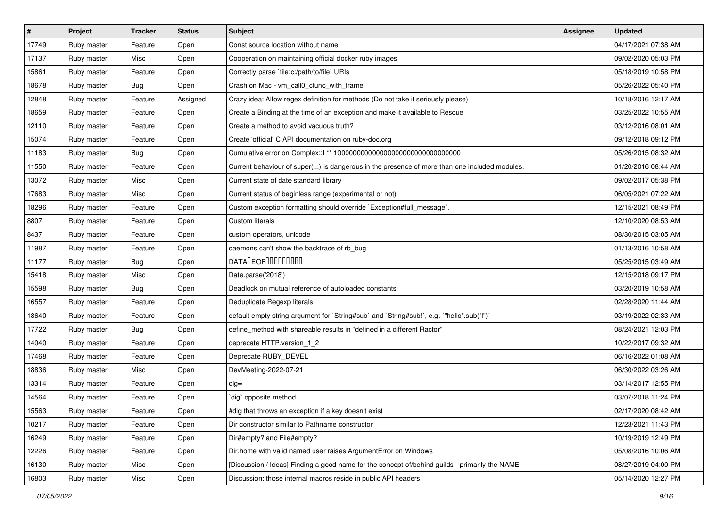| $\vert$ # | Project     | <b>Tracker</b> | <b>Status</b> | Subject                                                                                        | Assignee | <b>Updated</b>      |
|-----------|-------------|----------------|---------------|------------------------------------------------------------------------------------------------|----------|---------------------|
| 17749     | Ruby master | Feature        | Open          | Const source location without name                                                             |          | 04/17/2021 07:38 AM |
| 17137     | Ruby master | Misc           | Open          | Cooperation on maintaining official docker ruby images                                         |          | 09/02/2020 05:03 PM |
| 15861     | Ruby master | Feature        | Open          | Correctly parse `file:c:/path/to/file` URIs                                                    |          | 05/18/2019 10:58 PM |
| 18678     | Ruby master | Bug            | Open          | Crash on Mac - vm_call0_cfunc_with_frame                                                       |          | 05/26/2022 05:40 PM |
| 12848     | Ruby master | Feature        | Assigned      | Crazy idea: Allow regex definition for methods (Do not take it seriously please)               |          | 10/18/2016 12:17 AM |
| 18659     | Ruby master | Feature        | Open          | Create a Binding at the time of an exception and make it available to Rescue                   |          | 03/25/2022 10:55 AM |
| 12110     | Ruby master | Feature        | Open          | Create a method to avoid vacuous truth?                                                        |          | 03/12/2016 08:01 AM |
| 15074     | Ruby master | Feature        | Open          | Create 'official' C API documentation on ruby-doc.org                                          |          | 09/12/2018 09:12 PM |
| 11183     | Ruby master | <b>Bug</b>     | Open          | Cumulative error on Complex::   ** 100000000000000000000000000000000                           |          | 05/26/2015 08:32 AM |
| 11550     | Ruby master | Feature        | Open          | Current behaviour of super() is dangerous in the presence of more than one included modules.   |          | 01/20/2016 08:44 AM |
| 13072     | Ruby master | Misc           | Open          | Current state of date standard library                                                         |          | 09/02/2017 05:38 PM |
| 17683     | Ruby master | Misc           | Open          | Current status of beginless range (experimental or not)                                        |          | 06/05/2021 07:22 AM |
| 18296     | Ruby master | Feature        | Open          | Custom exception formatting should override `Exception#full_message`.                          |          | 12/15/2021 08:49 PM |
| 8807      | Ruby master | Feature        | Open          | Custom literals                                                                                |          | 12/10/2020 08:53 AM |
| 8437      | Ruby master | Feature        | Open          | custom operators, unicode                                                                      |          | 08/30/2015 03:05 AM |
| 11987     | Ruby master | Feature        | Open          | daemons can't show the backtrace of rb_bug                                                     |          | 01/13/2016 10:58 AM |
| 11177     | Ruby master | Bug            | Open          | <b>DATALEOFILILILILILI</b>                                                                     |          | 05/25/2015 03:49 AM |
| 15418     | Ruby master | Misc           | Open          | Date.parse('2018')                                                                             |          | 12/15/2018 09:17 PM |
| 15598     | Ruby master | <b>Bug</b>     | Open          | Deadlock on mutual reference of autoloaded constants                                           |          | 03/20/2019 10:58 AM |
| 16557     | Ruby master | Feature        | Open          | Deduplicate Regexp literals                                                                    |          | 02/28/2020 11:44 AM |
| 18640     | Ruby master | Feature        | Open          | default empty string argument for `String#sub` and `String#sub!`, e.g. `"hello".sub("I")`      |          | 03/19/2022 02:33 AM |
| 17722     | Ruby master | <b>Bug</b>     | Open          | define_method with shareable results in "defined in a different Ractor"                        |          | 08/24/2021 12:03 PM |
| 14040     | Ruby master | Feature        | Open          | deprecate HTTP.version_1_2                                                                     |          | 10/22/2017 09:32 AM |
| 17468     | Ruby master | Feature        | Open          | Deprecate RUBY_DEVEL                                                                           |          | 06/16/2022 01:08 AM |
| 18836     | Ruby master | Misc           | Open          | DevMeeting-2022-07-21                                                                          |          | 06/30/2022 03:26 AM |
| 13314     | Ruby master | Feature        | Open          | $dig =$                                                                                        |          | 03/14/2017 12:55 PM |
| 14564     | Ruby master | Feature        | Open          | dig` opposite method                                                                           |          | 03/07/2018 11:24 PM |
| 15563     | Ruby master | Feature        | Open          | #dig that throws an exception if a key doesn't exist                                           |          | 02/17/2020 08:42 AM |
| 10217     | Ruby master | Feature        | Open          | Dir constructor similar to Pathname constructor                                                |          | 12/23/2021 11:43 PM |
| 16249     | Ruby master | Feature        | Open          | Dir#empty? and File#empty?                                                                     |          | 10/19/2019 12:49 PM |
| 12226     | Ruby master | Feature        | Open          | Dir.home with valid named user raises ArgumentError on Windows                                 |          | 05/08/2016 10:06 AM |
| 16130     | Ruby master | Misc           | Open          | [Discussion / Ideas] Finding a good name for the concept of/behind guilds - primarily the NAME |          | 08/27/2019 04:00 PM |
| 16803     | Ruby master | Misc           | Open          | Discussion: those internal macros reside in public API headers                                 |          | 05/14/2020 12:27 PM |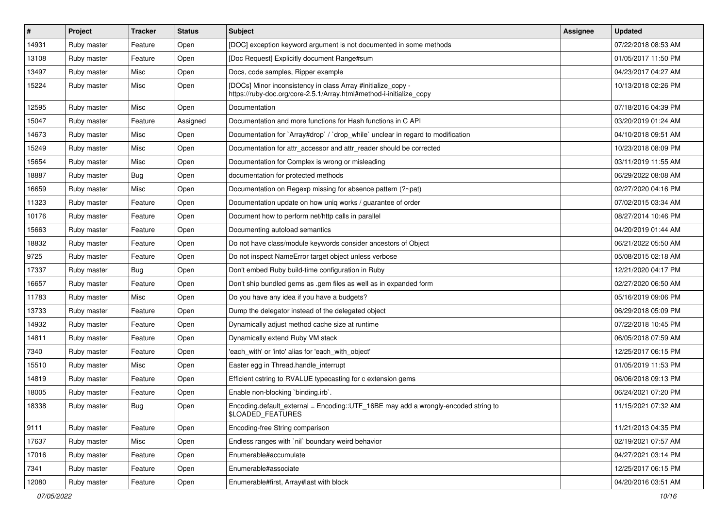| $\vert$ # | Project     | <b>Tracker</b> | <b>Status</b> | <b>Subject</b>                                                                                                                      | <b>Assignee</b> | <b>Updated</b>      |
|-----------|-------------|----------------|---------------|-------------------------------------------------------------------------------------------------------------------------------------|-----------------|---------------------|
| 14931     | Ruby master | Feature        | Open          | [DOC] exception keyword argument is not documented in some methods                                                                  |                 | 07/22/2018 08:53 AM |
| 13108     | Ruby master | Feature        | Open          | [Doc Request] Explicitly document Range#sum                                                                                         |                 | 01/05/2017 11:50 PM |
| 13497     | Ruby master | Misc           | Open          | Docs, code samples, Ripper example                                                                                                  |                 | 04/23/2017 04:27 AM |
| 15224     | Ruby master | Misc           | Open          | [DOCs] Minor inconsistency in class Array #initialize_copy -<br>https://ruby-doc.org/core-2.5.1/Array.html#method-i-initialize_copy |                 | 10/13/2018 02:26 PM |
| 12595     | Ruby master | Misc           | Open          | Documentation                                                                                                                       |                 | 07/18/2016 04:39 PM |
| 15047     | Ruby master | Feature        | Assigned      | Documentation and more functions for Hash functions in C API                                                                        |                 | 03/20/2019 01:24 AM |
| 14673     | Ruby master | Misc           | Open          | Documentation for `Array#drop` / `drop_while` unclear in regard to modification                                                     |                 | 04/10/2018 09:51 AM |
| 15249     | Ruby master | Misc           | Open          | Documentation for attr_accessor and attr_reader should be corrected                                                                 |                 | 10/23/2018 08:09 PM |
| 15654     | Ruby master | Misc           | Open          | Documentation for Complex is wrong or misleading                                                                                    |                 | 03/11/2019 11:55 AM |
| 18887     | Ruby master | Bug            | Open          | documentation for protected methods                                                                                                 |                 | 06/29/2022 08:08 AM |
| 16659     | Ruby master | Misc           | Open          | Documentation on Regexp missing for absence pattern (?~pat)                                                                         |                 | 02/27/2020 04:16 PM |
| 11323     | Ruby master | Feature        | Open          | Documentation update on how uniq works / guarantee of order                                                                         |                 | 07/02/2015 03:34 AM |
| 10176     | Ruby master | Feature        | Open          | Document how to perform net/http calls in parallel                                                                                  |                 | 08/27/2014 10:46 PM |
| 15663     | Ruby master | Feature        | Open          | Documenting autoload semantics                                                                                                      |                 | 04/20/2019 01:44 AM |
| 18832     | Ruby master | Feature        | Open          | Do not have class/module keywords consider ancestors of Object                                                                      |                 | 06/21/2022 05:50 AM |
| 9725      | Ruby master | Feature        | Open          | Do not inspect NameError target object unless verbose                                                                               |                 | 05/08/2015 02:18 AM |
| 17337     | Ruby master | <b>Bug</b>     | Open          | Don't embed Ruby build-time configuration in Ruby                                                                                   |                 | 12/21/2020 04:17 PM |
| 16657     | Ruby master | Feature        | Open          | Don't ship bundled gems as .gem files as well as in expanded form                                                                   |                 | 02/27/2020 06:50 AM |
| 11783     | Ruby master | Misc           | Open          | Do you have any idea if you have a budgets?                                                                                         |                 | 05/16/2019 09:06 PM |
| 13733     | Ruby master | Feature        | Open          | Dump the delegator instead of the delegated object                                                                                  |                 | 06/29/2018 05:09 PM |
| 14932     | Ruby master | Feature        | Open          | Dynamically adjust method cache size at runtime                                                                                     |                 | 07/22/2018 10:45 PM |
| 14811     | Ruby master | Feature        | Open          | Dynamically extend Ruby VM stack                                                                                                    |                 | 06/05/2018 07:59 AM |
| 7340      | Ruby master | Feature        | Open          | 'each with' or 'into' alias for 'each with object'                                                                                  |                 | 12/25/2017 06:15 PM |
| 15510     | Ruby master | Misc           | Open          | Easter egg in Thread.handle_interrupt                                                                                               |                 | 01/05/2019 11:53 PM |
| 14819     | Ruby master | Feature        | Open          | Efficient cstring to RVALUE typecasting for c extension gems                                                                        |                 | 06/06/2018 09:13 PM |
| 18005     | Ruby master | Feature        | Open          | Enable non-blocking 'binding.irb'.                                                                                                  |                 | 06/24/2021 07:20 PM |
| 18338     | Ruby master | <b>Bug</b>     | Open          | Encoding.default_external = Encoding::UTF_16BE may add a wrongly-encoded string to<br>\$LOADED_FEATURES                             |                 | 11/15/2021 07:32 AM |
| 9111      | Ruby master | Feature        | Open          | Encoding-free String comparison                                                                                                     |                 | 11/21/2013 04:35 PM |
| 17637     | Ruby master | Misc           | Open          | Endless ranges with 'nil' boundary weird behavior                                                                                   |                 | 02/19/2021 07:57 AM |
| 17016     | Ruby master | Feature        | Open          | Enumerable#accumulate                                                                                                               |                 | 04/27/2021 03:14 PM |
| 7341      | Ruby master | Feature        | Open          | Enumerable#associate                                                                                                                |                 | 12/25/2017 06:15 PM |
| 12080     | Ruby master | Feature        | Open          | Enumerable#first, Array#last with block                                                                                             |                 | 04/20/2016 03:51 AM |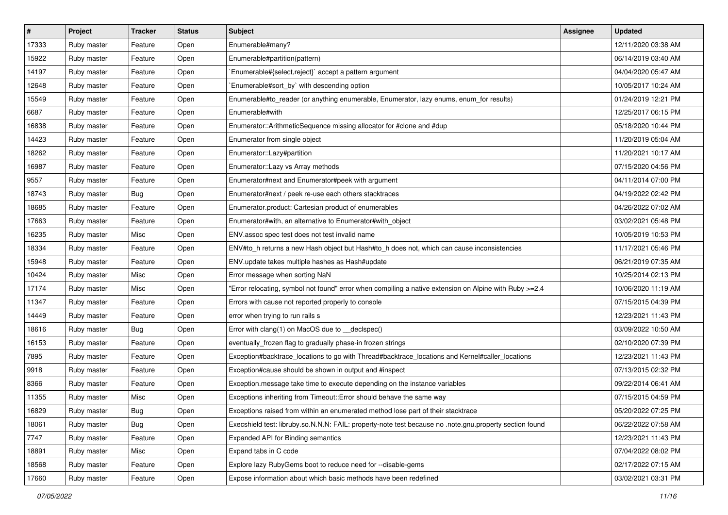| #     | Project     | <b>Tracker</b> | <b>Status</b> | Subject                                                                                                 | Assignee | <b>Updated</b>      |
|-------|-------------|----------------|---------------|---------------------------------------------------------------------------------------------------------|----------|---------------------|
| 17333 | Ruby master | Feature        | Open          | Enumerable#many?                                                                                        |          | 12/11/2020 03:38 AM |
| 15922 | Ruby master | Feature        | Open          | Enumerable#partition(pattern)                                                                           |          | 06/14/2019 03:40 AM |
| 14197 | Ruby master | Feature        | Open          | Enumerable#{select,reject}` accept a pattern argument                                                   |          | 04/04/2020 05:47 AM |
| 12648 | Ruby master | Feature        | Open          | `Enumerable#sort_by` with descending option                                                             |          | 10/05/2017 10:24 AM |
| 15549 | Ruby master | Feature        | Open          | Enumerable#to_reader (or anything enumerable, Enumerator, lazy enums, enum_for results)                 |          | 01/24/2019 12:21 PM |
| 6687  | Ruby master | Feature        | Open          | Enumerable#with                                                                                         |          | 12/25/2017 06:15 PM |
| 16838 | Ruby master | Feature        | Open          | Enumerator::ArithmeticSequence missing allocator for #clone and #dup                                    |          | 05/18/2020 10:44 PM |
| 14423 | Ruby master | Feature        | Open          | Enumerator from single object                                                                           |          | 11/20/2019 05:04 AM |
| 18262 | Ruby master | Feature        | Open          | Enumerator::Lazy#partition                                                                              |          | 11/20/2021 10:17 AM |
| 16987 | Ruby master | Feature        | Open          | Enumerator::Lazy vs Array methods                                                                       |          | 07/15/2020 04:56 PM |
| 9557  | Ruby master | Feature        | Open          | Enumerator#next and Enumerator#peek with argument                                                       |          | 04/11/2014 07:00 PM |
| 18743 | Ruby master | <b>Bug</b>     | Open          | Enumerator#next / peek re-use each others stacktraces                                                   |          | 04/19/2022 02:42 PM |
| 18685 | Ruby master | Feature        | Open          | Enumerator.product: Cartesian product of enumerables                                                    |          | 04/26/2022 07:02 AM |
| 17663 | Ruby master | Feature        | Open          | Enumerator#with, an alternative to Enumerator#with_object                                               |          | 03/02/2021 05:48 PM |
| 16235 | Ruby master | Misc           | Open          | ENV assoc spec test does not test invalid name                                                          |          | 10/05/2019 10:53 PM |
| 18334 | Ruby master | Feature        | Open          | ENV#to_h returns a new Hash object but Hash#to_h does not, which can cause inconsistencies              |          | 11/17/2021 05:46 PM |
| 15948 | Ruby master | Feature        | Open          | ENV update takes multiple hashes as Hash#update                                                         |          | 06/21/2019 07:35 AM |
| 10424 | Ruby master | Misc           | Open          | Error message when sorting NaN                                                                          |          | 10/25/2014 02:13 PM |
| 17174 | Ruby master | Misc           | Open          | "Error relocating, symbol not found" error when compiling a native extension on Alpine with Ruby >=2.4  |          | 10/06/2020 11:19 AM |
| 11347 | Ruby master | Feature        | Open          | Errors with cause not reported properly to console                                                      |          | 07/15/2015 04:39 PM |
| 14449 | Ruby master | Feature        | Open          | error when trying to run rails s                                                                        |          | 12/23/2021 11:43 PM |
| 18616 | Ruby master | Bug            | Open          | Error with clang(1) on MacOS due to _declspec()                                                         |          | 03/09/2022 10:50 AM |
| 16153 | Ruby master | Feature        | Open          | eventually_frozen flag to gradually phase-in frozen strings                                             |          | 02/10/2020 07:39 PM |
| 7895  | Ruby master | Feature        | Open          | Exception#backtrace_locations to go with Thread#backtrace_locations and Kernel#caller_locations         |          | 12/23/2021 11:43 PM |
| 9918  | Ruby master | Feature        | Open          | Exception#cause should be shown in output and #inspect                                                  |          | 07/13/2015 02:32 PM |
| 8366  | Ruby master | Feature        | Open          | Exception.message take time to execute depending on the instance variables                              |          | 09/22/2014 06:41 AM |
| 11355 | Ruby master | Misc           | Open          | Exceptions inheriting from Timeout:: Error should behave the same way                                   |          | 07/15/2015 04:59 PM |
| 16829 | Ruby master | Bug            | Open          | Exceptions raised from within an enumerated method lose part of their stacktrace                        |          | 05/20/2022 07:25 PM |
| 18061 | Ruby master | Bug            | Open          | Execshield test: libruby.so.N.N.N: FAIL: property-note test because no .note.gnu.property section found |          | 06/22/2022 07:58 AM |
| 7747  | Ruby master | Feature        | Open          | Expanded API for Binding semantics                                                                      |          | 12/23/2021 11:43 PM |
| 18891 | Ruby master | Misc           | Open          | Expand tabs in C code                                                                                   |          | 07/04/2022 08:02 PM |
| 18568 | Ruby master | Feature        | Open          | Explore lazy RubyGems boot to reduce need for --disable-gems                                            |          | 02/17/2022 07:15 AM |
| 17660 | Ruby master | Feature        | Open          | Expose information about which basic methods have been redefined                                        |          | 03/02/2021 03:31 PM |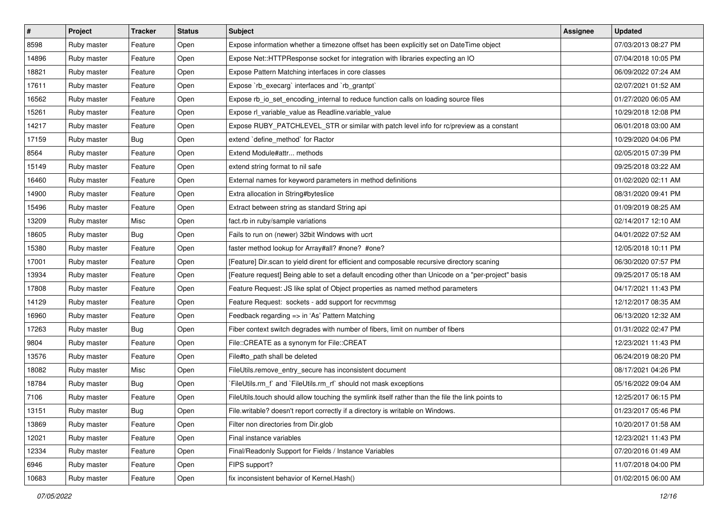| $\vert$ # | Project     | <b>Tracker</b> | <b>Status</b> | Subject                                                                                            | <b>Assignee</b> | <b>Updated</b>      |
|-----------|-------------|----------------|---------------|----------------------------------------------------------------------------------------------------|-----------------|---------------------|
| 8598      | Ruby master | Feature        | Open          | Expose information whether a timezone offset has been explicitly set on DateTime object            |                 | 07/03/2013 08:27 PM |
| 14896     | Ruby master | Feature        | Open          | Expose Net::HTTPResponse socket for integration with libraries expecting an IO                     |                 | 07/04/2018 10:05 PM |
| 18821     | Ruby master | Feature        | Open          | Expose Pattern Matching interfaces in core classes                                                 |                 | 06/09/2022 07:24 AM |
| 17611     | Ruby master | Feature        | Open          | Expose `rb_execarg` interfaces and `rb_grantpt`                                                    |                 | 02/07/2021 01:52 AM |
| 16562     | Ruby master | Feature        | Open          | Expose rb_io_set_encoding_internal to reduce function calls on loading source files                |                 | 01/27/2020 06:05 AM |
| 15261     | Ruby master | Feature        | Open          | Expose rl_variable_value as Readline.variable_value                                                |                 | 10/29/2018 12:08 PM |
| 14217     | Ruby master | Feature        | Open          | Expose RUBY_PATCHLEVEL_STR or similar with patch level info for rc/preview as a constant           |                 | 06/01/2018 03:00 AM |
| 17159     | Ruby master | Bug            | Open          | extend 'define_method' for Ractor                                                                  |                 | 10/29/2020 04:06 PM |
| 8564      | Ruby master | Feature        | Open          | Extend Module#attr methods                                                                         |                 | 02/05/2015 07:39 PM |
| 15149     | Ruby master | Feature        | Open          | extend string format to nil safe                                                                   |                 | 09/25/2018 03:22 AM |
| 16460     | Ruby master | Feature        | Open          | External names for keyword parameters in method definitions                                        |                 | 01/02/2020 02:11 AM |
| 14900     | Ruby master | Feature        | Open          | Extra allocation in String#byteslice                                                               |                 | 08/31/2020 09:41 PM |
| 15496     | Ruby master | Feature        | Open          | Extract between string as standard String api                                                      |                 | 01/09/2019 08:25 AM |
| 13209     | Ruby master | Misc           | Open          | fact.rb in ruby/sample variations                                                                  |                 | 02/14/2017 12:10 AM |
| 18605     | Ruby master | Bug            | Open          | Fails to run on (newer) 32bit Windows with ucrt                                                    |                 | 04/01/2022 07:52 AM |
| 15380     | Ruby master | Feature        | Open          | faster method lookup for Array#all? #none? #one?                                                   |                 | 12/05/2018 10:11 PM |
| 17001     | Ruby master | Feature        | Open          | [Feature] Dir.scan to yield dirent for efficient and composable recursive directory scaning        |                 | 06/30/2020 07:57 PM |
| 13934     | Ruby master | Feature        | Open          | [Feature request] Being able to set a default encoding other than Unicode on a "per-project" basis |                 | 09/25/2017 05:18 AM |
| 17808     | Ruby master | Feature        | Open          | Feature Request: JS like splat of Object properties as named method parameters                     |                 | 04/17/2021 11:43 PM |
| 14129     | Ruby master | Feature        | Open          | Feature Request: sockets - add support for recvmmsg                                                |                 | 12/12/2017 08:35 AM |
| 16960     | Ruby master | Feature        | Open          | Feedback regarding => in 'As' Pattern Matching                                                     |                 | 06/13/2020 12:32 AM |
| 17263     | Ruby master | Bug            | Open          | Fiber context switch degrades with number of fibers, limit on number of fibers                     |                 | 01/31/2022 02:47 PM |
| 9804      | Ruby master | Feature        | Open          | File::CREATE as a synonym for File::CREAT                                                          |                 | 12/23/2021 11:43 PM |
| 13576     | Ruby master | Feature        | Open          | File#to_path shall be deleted                                                                      |                 | 06/24/2019 08:20 PM |
| 18082     | Ruby master | Misc           | Open          | FileUtils.remove_entry_secure has inconsistent document                                            |                 | 08/17/2021 04:26 PM |
| 18784     | Ruby master | Bug            | Open          | FileUtils.rm_f` and `FileUtils.rm_rf` should not mask exceptions                                   |                 | 05/16/2022 09:04 AM |
| 7106      | Ruby master | Feature        | Open          | FileUtils.touch should allow touching the symlink itself rather than the file the link points to   |                 | 12/25/2017 06:15 PM |
| 13151     | Ruby master | <b>Bug</b>     | Open          | File.writable? doesn't report correctly if a directory is writable on Windows.                     |                 | 01/23/2017 05:46 PM |
| 13869     | Ruby master | Feature        | Open          | Filter non directories from Dir.glob                                                               |                 | 10/20/2017 01:58 AM |
| 12021     | Ruby master | Feature        | Open          | Final instance variables                                                                           |                 | 12/23/2021 11:43 PM |
| 12334     | Ruby master | Feature        | Open          | Final/Readonly Support for Fields / Instance Variables                                             |                 | 07/20/2016 01:49 AM |
| 6946      | Ruby master | Feature        | Open          | FIPS support?                                                                                      |                 | 11/07/2018 04:00 PM |
| 10683     | Ruby master | Feature        | Open          | fix inconsistent behavior of Kernel.Hash()                                                         |                 | 01/02/2015 06:00 AM |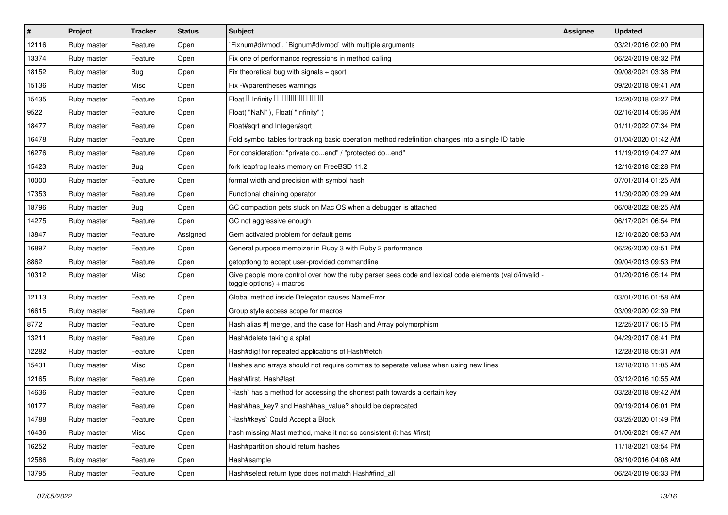| #     | Project     | <b>Tracker</b> | <b>Status</b> | <b>Subject</b>                                                                                                                     | Assignee | <b>Updated</b>      |
|-------|-------------|----------------|---------------|------------------------------------------------------------------------------------------------------------------------------------|----------|---------------------|
| 12116 | Ruby master | Feature        | Open          | Fixnum#divmod`, `Bignum#divmod` with multiple arguments                                                                            |          | 03/21/2016 02:00 PM |
| 13374 | Ruby master | Feature        | Open          | Fix one of performance regressions in method calling                                                                               |          | 06/24/2019 08:32 PM |
| 18152 | Ruby master | Bug            | Open          | Fix theoretical bug with signals + qsort                                                                                           |          | 09/08/2021 03:38 PM |
| 15136 | Ruby master | Misc           | Open          | Fix - Wparentheses warnings                                                                                                        |          | 09/20/2018 09:41 AM |
| 15435 | Ruby master | Feature        | Open          | Float D Infinity 000000000000                                                                                                      |          | 12/20/2018 02:27 PM |
| 9522  | Ruby master | Feature        | Open          | Float("NaN"), Float("Infinity")                                                                                                    |          | 02/16/2014 05:36 AM |
| 18477 | Ruby master | Feature        | Open          | Float#sqrt and Integer#sqrt                                                                                                        |          | 01/11/2022 07:34 PM |
| 16478 | Ruby master | Feature        | Open          | Fold symbol tables for tracking basic operation method redefinition changes into a single ID table                                 |          | 01/04/2020 01:42 AM |
| 16276 | Ruby master | Feature        | Open          | For consideration: "private doend" / "protected doend"                                                                             |          | 11/19/2019 04:27 AM |
| 15423 | Ruby master | <b>Bug</b>     | Open          | fork leapfrog leaks memory on FreeBSD 11.2                                                                                         |          | 12/16/2018 02:28 PM |
| 10000 | Ruby master | Feature        | Open          | format width and precision with symbol hash                                                                                        |          | 07/01/2014 01:25 AM |
| 17353 | Ruby master | Feature        | Open          | Functional chaining operator                                                                                                       |          | 11/30/2020 03:29 AM |
| 18796 | Ruby master | <b>Bug</b>     | Open          | GC compaction gets stuck on Mac OS when a debugger is attached                                                                     |          | 06/08/2022 08:25 AM |
| 14275 | Ruby master | Feature        | Open          | GC not aggressive enough                                                                                                           |          | 06/17/2021 06:54 PM |
| 13847 | Ruby master | Feature        | Assigned      | Gem activated problem for default gems                                                                                             |          | 12/10/2020 08:53 AM |
| 16897 | Ruby master | Feature        | Open          | General purpose memoizer in Ruby 3 with Ruby 2 performance                                                                         |          | 06/26/2020 03:51 PM |
| 8862  | Ruby master | Feature        | Open          | getoptlong to accept user-provided commandline                                                                                     |          | 09/04/2013 09:53 PM |
| 10312 | Ruby master | Misc           | Open          | Give people more control over how the ruby parser sees code and lexical code elements (valid/invalid -<br>toggle options) + macros |          | 01/20/2016 05:14 PM |
| 12113 | Ruby master | Feature        | Open          | Global method inside Delegator causes NameError                                                                                    |          | 03/01/2016 01:58 AM |
| 16615 | Ruby master | Feature        | Open          | Group style access scope for macros                                                                                                |          | 03/09/2020 02:39 PM |
| 8772  | Ruby master | Feature        | Open          | Hash alias #  merge, and the case for Hash and Array polymorphism                                                                  |          | 12/25/2017 06:15 PM |
| 13211 | Ruby master | Feature        | Open          | Hash#delete taking a splat                                                                                                         |          | 04/29/2017 08:41 PM |
| 12282 | Ruby master | Feature        | Open          | Hash#dig! for repeated applications of Hash#fetch                                                                                  |          | 12/28/2018 05:31 AM |
| 15431 | Ruby master | Misc           | Open          | Hashes and arrays should not require commas to seperate values when using new lines                                                |          | 12/18/2018 11:05 AM |
| 12165 | Ruby master | Feature        | Open          | Hash#first, Hash#last                                                                                                              |          | 03/12/2016 10:55 AM |
| 14636 | Ruby master | Feature        | Open          | `Hash` has a method for accessing the shortest path towards a certain key                                                          |          | 03/28/2018 09:42 AM |
| 10177 | Ruby master | Feature        | Open          | Hash#has_key? and Hash#has_value? should be deprecated                                                                             |          | 09/19/2014 06:01 PM |
| 14788 | Ruby master | Feature        | Open          | 'Hash#keys' Could Accept a Block                                                                                                   |          | 03/25/2020 01:49 PM |
| 16436 | Ruby master | Misc           | Open          | hash missing #last method, make it not so consistent (it has #first)                                                               |          | 01/06/2021 09:47 AM |
| 16252 | Ruby master | Feature        | Open          | Hash#partition should return hashes                                                                                                |          | 11/18/2021 03:54 PM |
| 12586 | Ruby master | Feature        | Open          | Hash#sample                                                                                                                        |          | 08/10/2016 04:08 AM |
| 13795 | Ruby master | Feature        | Open          | Hash#select return type does not match Hash#find_all                                                                               |          | 06/24/2019 06:33 PM |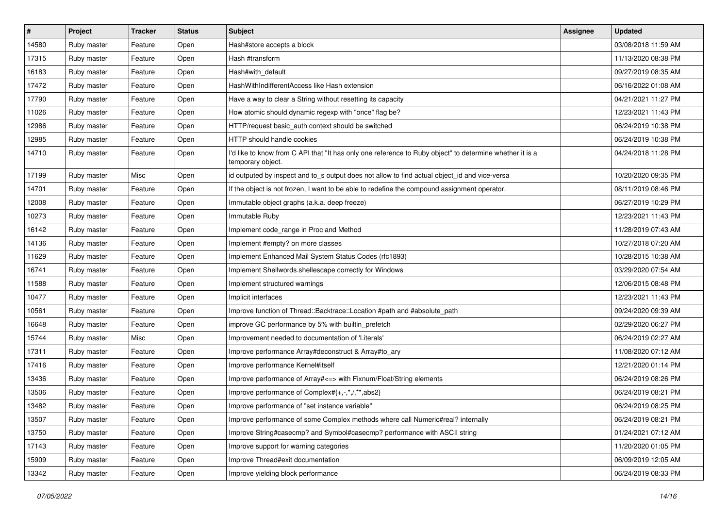| #     | Project     | <b>Tracker</b> | <b>Status</b> | <b>Subject</b>                                                                                                                | Assignee | <b>Updated</b>      |
|-------|-------------|----------------|---------------|-------------------------------------------------------------------------------------------------------------------------------|----------|---------------------|
| 14580 | Ruby master | Feature        | Open          | Hash#store accepts a block                                                                                                    |          | 03/08/2018 11:59 AM |
| 17315 | Ruby master | Feature        | Open          | Hash #transform                                                                                                               |          | 11/13/2020 08:38 PM |
| 16183 | Ruby master | Feature        | Open          | Hash#with default                                                                                                             |          | 09/27/2019 08:35 AM |
| 17472 | Ruby master | Feature        | Open          | HashWithIndifferentAccess like Hash extension                                                                                 |          | 06/16/2022 01:08 AM |
| 17790 | Ruby master | Feature        | Open          | Have a way to clear a String without resetting its capacity                                                                   |          | 04/21/2021 11:27 PM |
| 11026 | Ruby master | Feature        | Open          | How atomic should dynamic regexp with "once" flag be?                                                                         |          | 12/23/2021 11:43 PM |
| 12986 | Ruby master | Feature        | Open          | HTTP/request basic_auth context should be switched                                                                            |          | 06/24/2019 10:38 PM |
| 12985 | Ruby master | Feature        | Open          | HTTP should handle cookies                                                                                                    |          | 06/24/2019 10:38 PM |
| 14710 | Ruby master | Feature        | Open          | I'd like to know from C API that "It has only one reference to Ruby object" to determine whether it is a<br>temporary object. |          | 04/24/2018 11:28 PM |
| 17199 | Ruby master | Misc           | Open          | id outputed by inspect and to s output does not allow to find actual object id and vice-versa                                 |          | 10/20/2020 09:35 PM |
| 14701 | Ruby master | Feature        | Open          | If the object is not frozen, I want to be able to redefine the compound assignment operator.                                  |          | 08/11/2019 08:46 PM |
| 12008 | Ruby master | Feature        | Open          | Immutable object graphs (a.k.a. deep freeze)                                                                                  |          | 06/27/2019 10:29 PM |
| 10273 | Ruby master | Feature        | Open          | Immutable Ruby                                                                                                                |          | 12/23/2021 11:43 PM |
| 16142 | Ruby master | Feature        | Open          | Implement code_range in Proc and Method                                                                                       |          | 11/28/2019 07:43 AM |
| 14136 | Ruby master | Feature        | Open          | Implement #empty? on more classes                                                                                             |          | 10/27/2018 07:20 AM |
| 11629 | Ruby master | Feature        | Open          | Implement Enhanced Mail System Status Codes (rfc1893)                                                                         |          | 10/28/2015 10:38 AM |
| 16741 | Ruby master | Feature        | Open          | Implement Shellwords.shellescape correctly for Windows                                                                        |          | 03/29/2020 07:54 AM |
| 11588 | Ruby master | Feature        | Open          | Implement structured warnings                                                                                                 |          | 12/06/2015 08:48 PM |
| 10477 | Ruby master | Feature        | Open          | Implicit interfaces                                                                                                           |          | 12/23/2021 11:43 PM |
| 10561 | Ruby master | Feature        | Open          | Improve function of Thread::Backtrace::Location #path and #absolute_path                                                      |          | 09/24/2020 09:39 AM |
| 16648 | Ruby master | Feature        | Open          | improve GC performance by 5% with builtin_prefetch                                                                            |          | 02/29/2020 06:27 PM |
| 15744 | Ruby master | Misc           | Open          | Improvement needed to documentation of 'Literals'                                                                             |          | 06/24/2019 02:27 AM |
| 17311 | Ruby master | Feature        | Open          | Improve performance Array#deconstruct & Array#to_ary                                                                          |          | 11/08/2020 07:12 AM |
| 17416 | Ruby master | Feature        | Open          | Improve performance Kernel#itself                                                                                             |          | 12/21/2020 01:14 PM |
| 13436 | Ruby master | Feature        | Open          | Improve performance of Array# <= > with Fixnum/Float/String elements                                                          |          | 06/24/2019 08:26 PM |
| 13506 | Ruby master | Feature        | Open          | Improve performance of Complex#{+,-,*,/,**,abs2}                                                                              |          | 06/24/2019 08:21 PM |
| 13482 | Ruby master | Feature        | Open          | Improve performance of "set instance variable"                                                                                |          | 06/24/2019 08:25 PM |
| 13507 | Ruby master | Feature        | Open          | Improve performance of some Complex methods where call Numeric#real? internally                                               |          | 06/24/2019 08:21 PM |
| 13750 | Ruby master | Feature        | Open          | Improve String#casecmp? and Symbol#casecmp? performance with ASCII string                                                     |          | 01/24/2021 07:12 AM |
| 17143 | Ruby master | Feature        | Open          | Improve support for warning categories                                                                                        |          | 11/20/2020 01:05 PM |
| 15909 | Ruby master | Feature        | Open          | Improve Thread#exit documentation                                                                                             |          | 06/09/2019 12:05 AM |
| 13342 | Ruby master | Feature        | Open          | Improve yielding block performance                                                                                            |          | 06/24/2019 08:33 PM |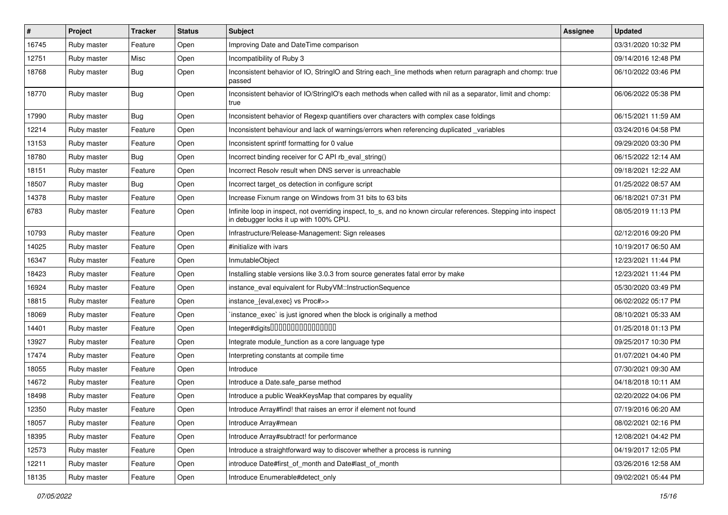| $\sharp$ | Project     | <b>Tracker</b> | <b>Status</b> | <b>Subject</b>                                                                                                                                            | <b>Assignee</b> | <b>Updated</b>      |
|----------|-------------|----------------|---------------|-----------------------------------------------------------------------------------------------------------------------------------------------------------|-----------------|---------------------|
| 16745    | Ruby master | Feature        | Open          | Improving Date and DateTime comparison                                                                                                                    |                 | 03/31/2020 10:32 PM |
| 12751    | Ruby master | Misc           | Open          | Incompatibility of Ruby 3                                                                                                                                 |                 | 09/14/2016 12:48 PM |
| 18768    | Ruby master | <b>Bug</b>     | Open          | Inconsistent behavior of IO, StringIO and String each_line methods when return paragraph and chomp: true<br>passed                                        |                 | 06/10/2022 03:46 PM |
| 18770    | Ruby master | Bug            | Open          | Inconsistent behavior of IO/StringIO's each methods when called with nil as a separator, limit and chomp:<br>true                                         |                 | 06/06/2022 05:38 PM |
| 17990    | Ruby master | <b>Bug</b>     | Open          | Inconsistent behavior of Regexp quantifiers over characters with complex case foldings                                                                    |                 | 06/15/2021 11:59 AM |
| 12214    | Ruby master | Feature        | Open          | Inconsistent behaviour and lack of warnings/errors when referencing duplicated variables                                                                  |                 | 03/24/2016 04:58 PM |
| 13153    | Ruby master | Feature        | Open          | Inconsistent sprintf formatting for 0 value                                                                                                               |                 | 09/29/2020 03:30 PM |
| 18780    | Ruby master | Bug            | Open          | Incorrect binding receiver for C API rb_eval_string()                                                                                                     |                 | 06/15/2022 12:14 AM |
| 18151    | Ruby master | Feature        | Open          | Incorrect Resolv result when DNS server is unreachable                                                                                                    |                 | 09/18/2021 12:22 AM |
| 18507    | Ruby master | <b>Bug</b>     | Open          | Incorrect target_os detection in configure script                                                                                                         |                 | 01/25/2022 08:57 AM |
| 14378    | Ruby master | Feature        | Open          | Increase Fixnum range on Windows from 31 bits to 63 bits                                                                                                  |                 | 06/18/2021 07:31 PM |
| 6783     | Ruby master | Feature        | Open          | Infinite loop in inspect, not overriding inspect, to_s, and no known circular references. Stepping into inspect<br>in debugger locks it up with 100% CPU. |                 | 08/05/2019 11:13 PM |
| 10793    | Ruby master | Feature        | Open          | Infrastructure/Release-Management: Sign releases                                                                                                          |                 | 02/12/2016 09:20 PM |
| 14025    | Ruby master | Feature        | Open          | #initialize with ivars                                                                                                                                    |                 | 10/19/2017 06:50 AM |
| 16347    | Ruby master | Feature        | Open          | InmutableObject                                                                                                                                           |                 | 12/23/2021 11:44 PM |
| 18423    | Ruby master | Feature        | Open          | Installing stable versions like 3.0.3 from source generates fatal error by make                                                                           |                 | 12/23/2021 11:44 PM |
| 16924    | Ruby master | Feature        | Open          | instance eval equivalent for RubyVM::InstructionSequence                                                                                                  |                 | 05/30/2020 03:49 PM |
| 18815    | Ruby master | Feature        | Open          | instance {eval, exec} vs Proc#>>                                                                                                                          |                 | 06/02/2022 05:17 PM |
| 18069    | Ruby master | Feature        | Open          | instance_exec` is just ignored when the block is originally a method                                                                                      |                 | 08/10/2021 05:33 AM |
| 14401    | Ruby master | Feature        | Open          | Integer#digits0000000000000000                                                                                                                            |                 | 01/25/2018 01:13 PM |
| 13927    | Ruby master | Feature        | Open          | Integrate module_function as a core language type                                                                                                         |                 | 09/25/2017 10:30 PM |
| 17474    | Ruby master | Feature        | Open          | Interpreting constants at compile time                                                                                                                    |                 | 01/07/2021 04:40 PM |
| 18055    | Ruby master | Feature        | Open          | Introduce                                                                                                                                                 |                 | 07/30/2021 09:30 AM |
| 14672    | Ruby master | Feature        | Open          | Introduce a Date.safe_parse method                                                                                                                        |                 | 04/18/2018 10:11 AM |
| 18498    | Ruby master | Feature        | Open          | Introduce a public WeakKeysMap that compares by equality                                                                                                  |                 | 02/20/2022 04:06 PM |
| 12350    | Ruby master | Feature        | Open          | Introduce Array#find! that raises an error if element not found                                                                                           |                 | 07/19/2016 06:20 AM |
| 18057    | Ruby master | Feature        | Open          | Introduce Array#mean                                                                                                                                      |                 | 08/02/2021 02:16 PM |
| 18395    | Ruby master | Feature        | Open          | Introduce Array#subtract! for performance                                                                                                                 |                 | 12/08/2021 04:42 PM |
| 12573    | Ruby master | Feature        | Open          | Introduce a straightforward way to discover whether a process is running                                                                                  |                 | 04/19/2017 12:05 PM |
| 12211    | Ruby master | Feature        | Open          | introduce Date#first_of_month and Date#last_of_month                                                                                                      |                 | 03/26/2016 12:58 AM |
| 18135    | Ruby master | Feature        | Open          | Introduce Enumerable#detect only                                                                                                                          |                 | 09/02/2021 05:44 PM |